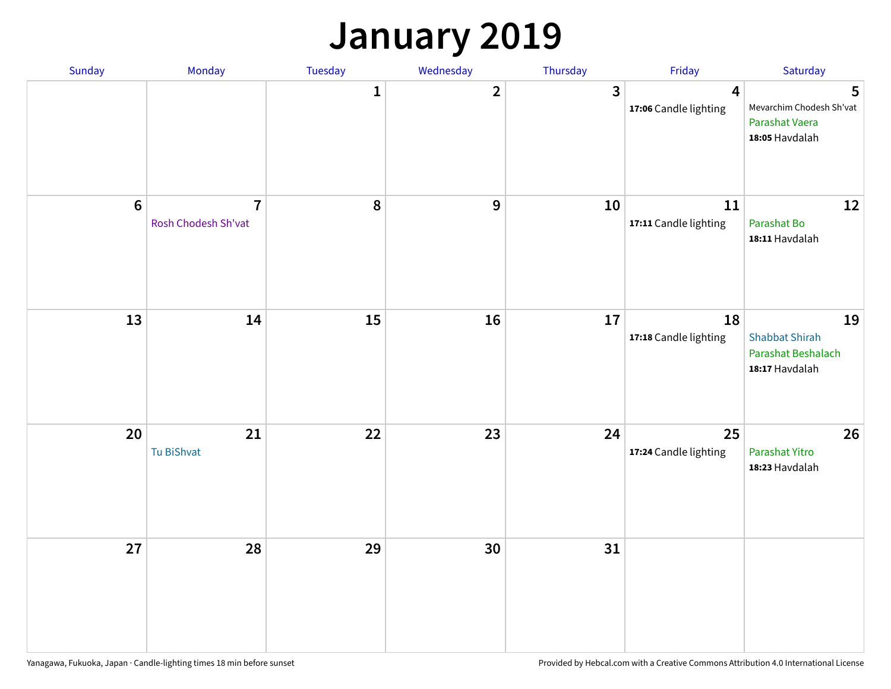### **January 2019**

| Sunday           | Monday                                | Tuesday      | Wednesday    | Thursday                | Friday                                           | Saturday                                                            |
|------------------|---------------------------------------|--------------|--------------|-------------------------|--------------------------------------------------|---------------------------------------------------------------------|
|                  |                                       | $\mathbf{1}$ | $\mathbf{2}$ | $\overline{\mathbf{3}}$ | $\overline{\mathbf{4}}$<br>17:06 Candle lighting | 5<br>Mevarchim Chodesh Sh'vat<br>Parashat Vaera<br>18:05 Havdalah   |
| $\boldsymbol{6}$ | $\overline{7}$<br>Rosh Chodesh Sh'vat | 8            | 9            | 10                      | 11<br>17:11 Candle lighting                      | 12<br>Parashat Bo<br>18:11 Havdalah                                 |
| 13               | 14                                    | 15           | 16           | 17                      | 18<br>17:18 Candle lighting                      | 19<br><b>Shabbat Shirah</b><br>Parashat Beshalach<br>18:17 Havdalah |
| 20               | 21<br>Tu BiShvat                      | 22           | 23           | 24                      | 25<br>17:24 Candle lighting                      | 26<br>Parashat Yitro<br>18:23 Havdalah                              |
| 27               | 28                                    | 29           | 30           | 31                      |                                                  |                                                                     |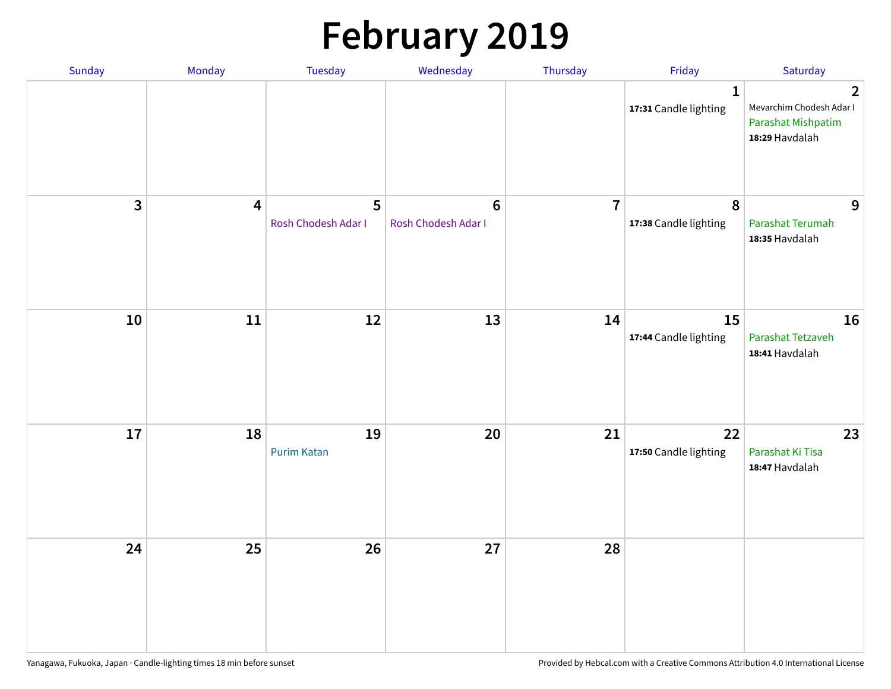# **February 2019**

| Sunday | Monday                  | <b>Tuesday</b>           | Wednesday                             | Thursday       | Friday                                    | Saturday                                                                           |
|--------|-------------------------|--------------------------|---------------------------------------|----------------|-------------------------------------------|------------------------------------------------------------------------------------|
|        |                         |                          |                                       |                | $\mathbf{1}$<br>17:31 Candle lighting     | $\overline{2}$<br>Mevarchim Chodesh Adar I<br>Parashat Mishpatim<br>18:29 Havdalah |
| 3      | $\overline{\mathbf{4}}$ | 5<br>Rosh Chodesh Adar I | $6\phantom{1}$<br>Rosh Chodesh Adar I | $\overline{7}$ | $\boldsymbol{8}$<br>17:38 Candle lighting | 9<br>Parashat Terumah<br>18:35 Havdalah                                            |
| 10     | $11\,$                  | 12                       | 13                                    | 14             | 15<br>17:44 Candle lighting               | 16<br>Parashat Tetzaveh<br>18:41 Havdalah                                          |
| $17\,$ | 18                      | 19<br><b>Purim Katan</b> | 20                                    | 21             | 22<br>17:50 Candle lighting               | 23<br>Parashat Ki Tisa<br>18:47 Havdalah                                           |
| 24     | 25                      | 26                       | 27                                    | 28             |                                           |                                                                                    |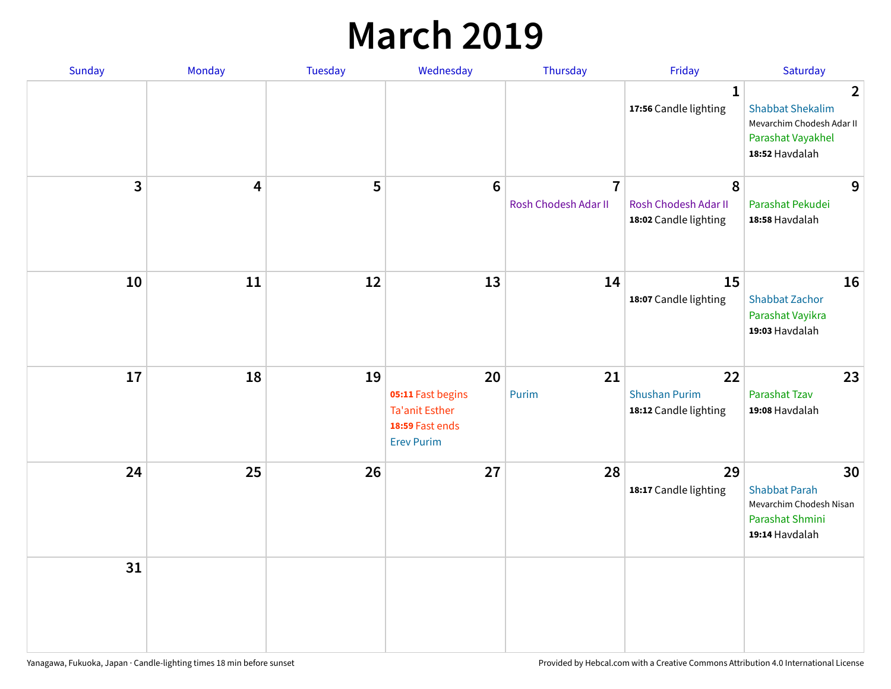### **March 2019**

| Sunday | Monday | Tuesday | Wednesday                                                                                | Thursday                               | Friday                                              | Saturday                                                                                                      |
|--------|--------|---------|------------------------------------------------------------------------------------------|----------------------------------------|-----------------------------------------------------|---------------------------------------------------------------------------------------------------------------|
|        |        |         |                                                                                          |                                        | $\mathbf{1}$<br>17:56 Candle lighting               | $\overline{2}$<br><b>Shabbat Shekalim</b><br>Mevarchim Chodesh Adar II<br>Parashat Vayakhel<br>18:52 Havdalah |
| 3      | 4      | 5       | $6\phantom{1}$                                                                           | $\overline{7}$<br>Rosh Chodesh Adar II | 8<br>Rosh Chodesh Adar II<br>18:02 Candle lighting  | 9<br>Parashat Pekudei<br>18:58 Havdalah                                                                       |
| 10     | 11     | 12      | 13                                                                                       | 14                                     | 15<br>18:07 Candle lighting                         | 16<br><b>Shabbat Zachor</b><br>Parashat Vayikra<br>19:03 Havdalah                                             |
| 17     | 18     | 19      | 20<br>05:11 Fast begins<br><b>Ta'anit Esther</b><br>18:59 Fast ends<br><b>Erev Purim</b> | 21<br>Purim                            | 22<br><b>Shushan Purim</b><br>18:12 Candle lighting | 23<br><b>Parashat Tzav</b><br>19:08 Havdalah                                                                  |
| 24     | 25     | 26      | 27                                                                                       | 28                                     | 29<br>18:17 Candle lighting                         | 30<br><b>Shabbat Parah</b><br>Mevarchim Chodesh Nisan<br>Parashat Shmini<br>19:14 Havdalah                    |
| 31     |        |         |                                                                                          |                                        |                                                     |                                                                                                               |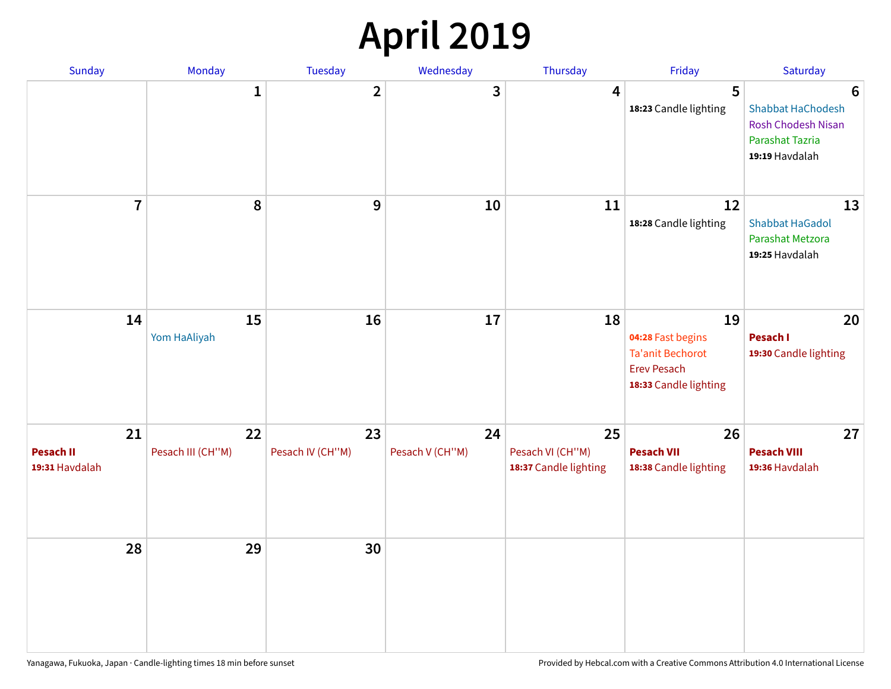## **April 2019**

| Sunday                                   | Monday                  | Tuesday                | Wednesday             | Thursday                                        | Friday                                                                                            | Saturday                                                                                               |
|------------------------------------------|-------------------------|------------------------|-----------------------|-------------------------------------------------|---------------------------------------------------------------------------------------------------|--------------------------------------------------------------------------------------------------------|
|                                          | $\mathbf{1}$            | $\overline{2}$         | 3                     | $\overline{4}$                                  | 5<br>18:23 Candle lighting                                                                        | $6\phantom{1}6$<br>Shabbat HaChodesh<br><b>Rosh Chodesh Nisan</b><br>Parashat Tazria<br>19:19 Havdalah |
| $\overline{7}$                           | 8                       | $\boldsymbol{9}$       | 10                    | 11                                              | 12<br>18:28 Candle lighting                                                                       | 13<br><b>Shabbat HaGadol</b><br>Parashat Metzora<br>19:25 Havdalah                                     |
| 14                                       | 15<br>Yom HaAliyah      | 16                     | 17                    | 18                                              | 19<br>04:28 Fast begins<br><b>Ta'anit Bechorot</b><br><b>Erev Pesach</b><br>18:33 Candle lighting | 20<br>Pesach I<br>19:30 Candle lighting                                                                |
| 21<br><b>Pesach II</b><br>19:31 Havdalah | 22<br>Pesach III (CH"M) | 23<br>Pesach IV (CH"M) | 24<br>Pesach V (CH"M) | 25<br>Pesach VI (CH"M)<br>18:37 Candle lighting | 26<br><b>Pesach VII</b><br>18:38 Candle lighting                                                  | 27<br><b>Pesach VIII</b><br>19:36 Havdalah                                                             |
| 28                                       | 29                      | 30                     |                       |                                                 |                                                                                                   |                                                                                                        |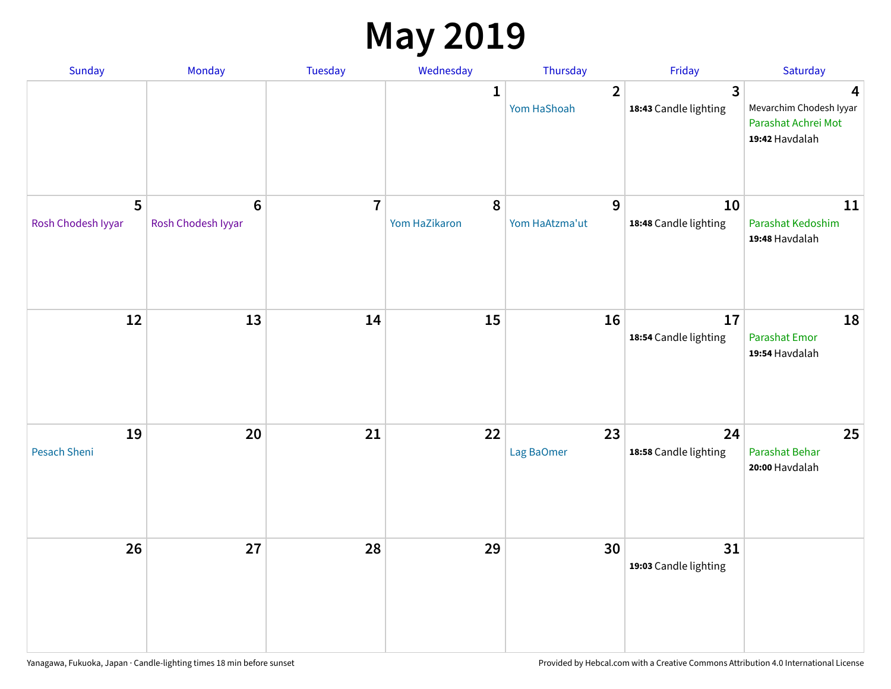### **May 2019**

| Sunday                    | Monday                                 | Tuesday                 | Wednesday                  | Thursday                      | Friday                                           | Saturday                                                              |
|---------------------------|----------------------------------------|-------------------------|----------------------------|-------------------------------|--------------------------------------------------|-----------------------------------------------------------------------|
|                           |                                        |                         | 1                          | $\overline{2}$<br>Yom HaShoah | $\overline{\mathbf{3}}$<br>18:43 Candle lighting | 4<br>Mevarchim Chodesh Iyyar<br>Parashat Achrei Mot<br>19:42 Havdalah |
| 5<br>Rosh Chodesh Iyyar   | $\boldsymbol{6}$<br>Rosh Chodesh Iyyar | $\overline{\mathbf{r}}$ | $\pmb{8}$<br>Yom HaZikaron | 9<br>Yom HaAtzma'ut           | 10<br>18:48 Candle lighting                      | 11<br>Parashat Kedoshim<br>19:48 Havdalah                             |
| 12                        | 13                                     | 14                      | 15                         | 16                            | 17<br>18:54 Candle lighting                      | 18<br>Parashat Emor<br>19:54 Havdalah                                 |
| 19<br><b>Pesach Sheni</b> | 20                                     | 21                      | 22                         | 23<br>Lag BaOmer              | 24<br>18:58 Candle lighting                      | 25<br>Parashat Behar<br>20:00 Havdalah                                |
| 26                        | 27                                     | 28                      | 29                         | 30                            | 31<br>19:03 Candle lighting                      |                                                                       |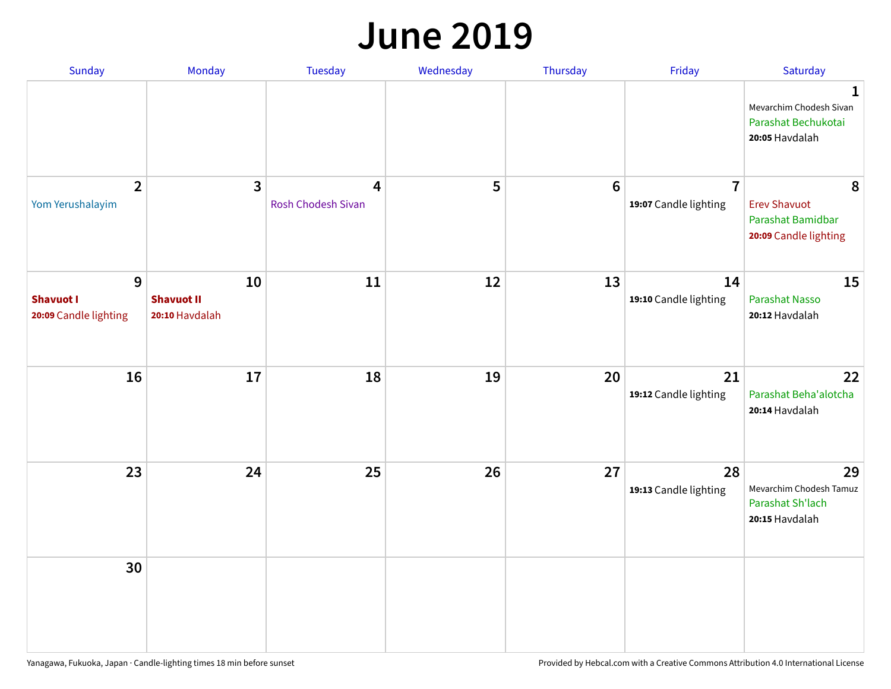#### **June 2019**

| <b>Sunday</b>                                  | Monday                                    | Tuesday                 | Wednesday | Thursday        | Friday                                  | Saturday                                                               |
|------------------------------------------------|-------------------------------------------|-------------------------|-----------|-----------------|-----------------------------------------|------------------------------------------------------------------------|
|                                                |                                           |                         |           |                 |                                         | 1<br>Mevarchim Chodesh Sivan<br>Parashat Bechukotai<br>20:05 Havdalah  |
| $\overline{2}$<br>Yom Yerushalayim             | $\mathbf{3}$                              | 4<br>Rosh Chodesh Sivan | 5         | $6\phantom{1}6$ | $\overline{7}$<br>19:07 Candle lighting | 8<br><b>Erev Shavuot</b><br>Parashat Bamidbar<br>20:09 Candle lighting |
| 9<br><b>Shavuot I</b><br>20:09 Candle lighting | 10<br><b>Shavuot II</b><br>20:10 Havdalah | 11                      | 12        | 13              | 14<br>19:10 Candle lighting             | 15<br><b>Parashat Nasso</b><br>20:12 Havdalah                          |
| 16                                             | 17                                        | 18                      | 19        | 20              | 21<br>19:12 Candle lighting             | 22<br>Parashat Beha'alotcha<br>20:14 Havdalah                          |
| 23                                             | 24                                        | 25                      | 26        | 27              | 28<br>19:13 Candle lighting             | 29<br>Mevarchim Chodesh Tamuz<br>Parashat Sh'lach<br>20:15 Havdalah    |
| 30                                             |                                           |                         |           |                 |                                         |                                                                        |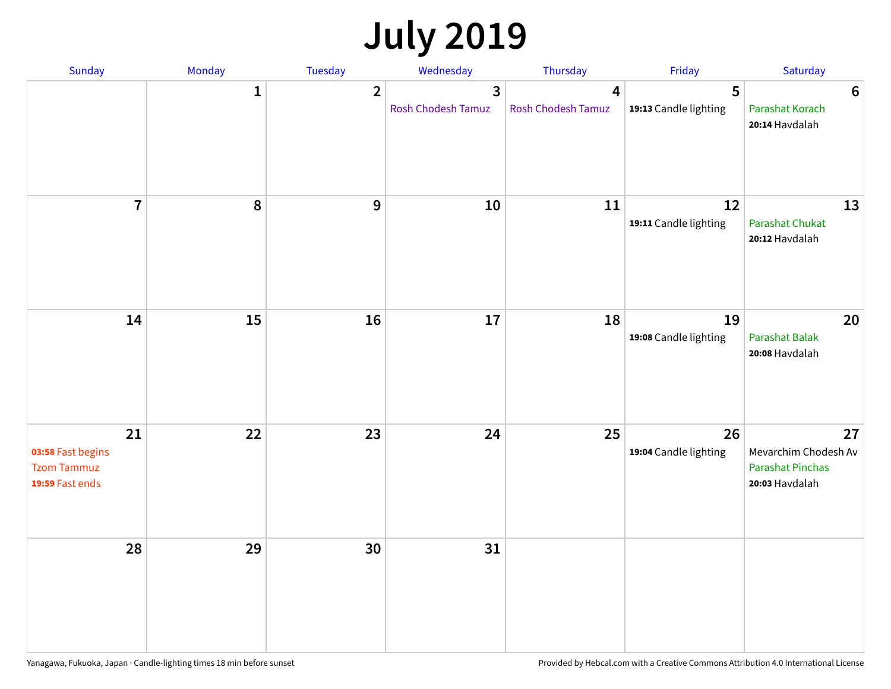## **July 2019**

| Sunday                                                           | Monday       | Tuesday        | Wednesday                                   | Thursday                | Friday                      | Saturday                                                                |
|------------------------------------------------------------------|--------------|----------------|---------------------------------------------|-------------------------|-----------------------------|-------------------------------------------------------------------------|
|                                                                  | $\mathbf{1}$ | $\overline{2}$ | $\overline{3}$<br><b>Rosh Chodesh Tamuz</b> | 4<br>Rosh Chodesh Tamuz | 5<br>19:13 Candle lighting  | $6\phantom{1}6$<br>Parashat Korach<br>20:14 Havdalah                    |
| $\overline{7}$                                                   | 8            | $\overline{9}$ | 10                                          | 11                      | 12<br>19:11 Candle lighting | 13<br><b>Parashat Chukat</b><br>20:12 Havdalah                          |
| 14                                                               | 15           | 16             | 17                                          | 18                      | 19<br>19:08 Candle lighting | 20<br><b>Parashat Balak</b><br>20:08 Havdalah                           |
| 21<br>03:58 Fast begins<br><b>Tzom Tammuz</b><br>19:59 Fast ends | 22           | 23             | 24                                          | 25                      | 26<br>19:04 Candle lighting | 27<br>Mevarchim Chodesh Av<br><b>Parashat Pinchas</b><br>20:03 Havdalah |
| 28                                                               | 29           | 30             | 31                                          |                         |                             |                                                                         |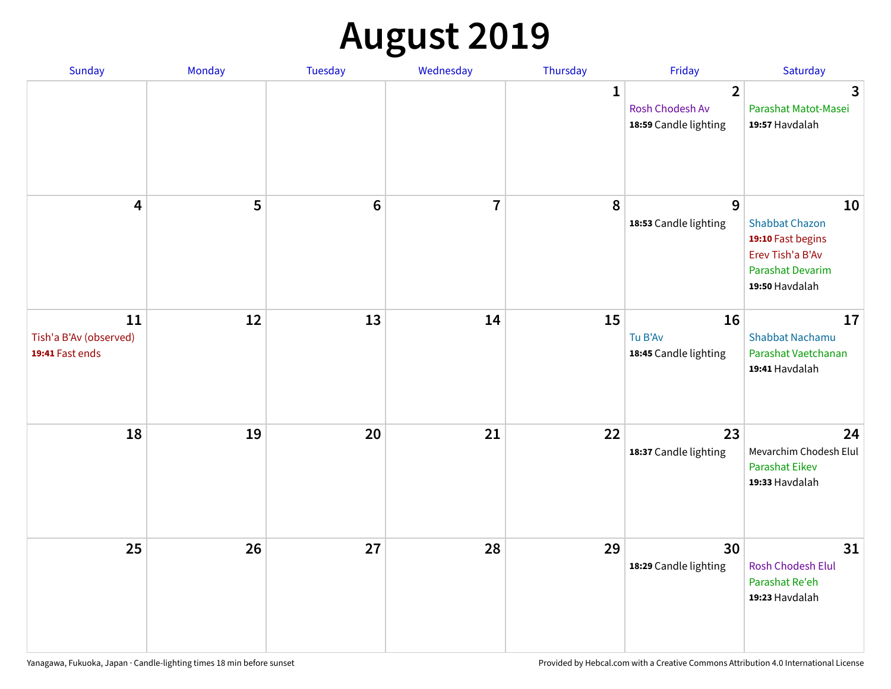## **August 2019**

| Sunday                                          | Monday | Tuesday         | Wednesday               | Thursday     | Friday                                                     | Saturday                                                                                                   |
|-------------------------------------------------|--------|-----------------|-------------------------|--------------|------------------------------------------------------------|------------------------------------------------------------------------------------------------------------|
|                                                 |        |                 |                         | $\mathbf{1}$ | $\overline{2}$<br>Rosh Chodesh Av<br>18:59 Candle lighting | $\overline{3}$<br>Parashat Matot-Masei<br>19:57 Havdalah                                                   |
| $\overline{\mathbf{4}}$                         | 5      | $6\phantom{1}6$ | $\overline{\mathbf{I}}$ | 8            | 9<br>18:53 Candle lighting                                 | 10<br><b>Shabbat Chazon</b><br>19:10 Fast begins<br>Erev Tish'a B'Av<br>Parashat Devarim<br>19:50 Havdalah |
| 11<br>Tish'a B'Av (observed)<br>19:41 Fast ends | 12     | 13              | 14                      | 15           | 16<br>Tu B'Av<br>18:45 Candle lighting                     | 17<br><b>Shabbat Nachamu</b><br>Parashat Vaetchanan<br>19:41 Havdalah                                      |
| 18                                              | 19     | 20              | 21                      | 22           | 23<br>18:37 Candle lighting                                | 24<br>Mevarchim Chodesh Elul<br><b>Parashat Eikev</b><br>19:33 Havdalah                                    |
| 25                                              | 26     | 27              | 28                      | 29           | 30<br>18:29 Candle lighting                                | 31<br><b>Rosh Chodesh Elul</b><br>Parashat Re'eh<br>19:23 Havdalah                                         |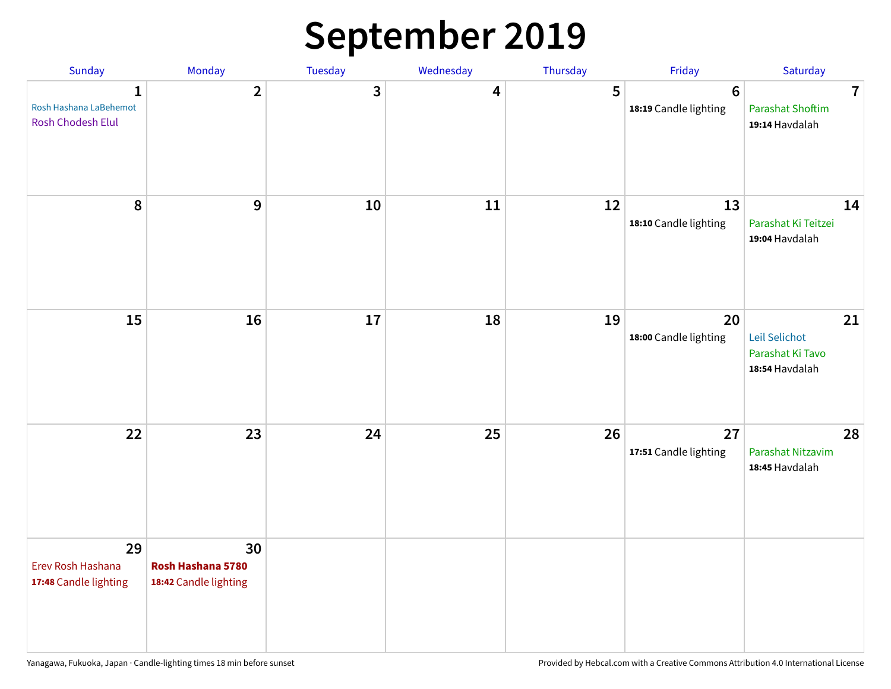### **September 2019**

| Sunday                                                      | Monday                                           | <b>Tuesday</b> | Wednesday | Thursday | Friday                                  | Saturday                                                    |
|-------------------------------------------------------------|--------------------------------------------------|----------------|-----------|----------|-----------------------------------------|-------------------------------------------------------------|
| $\mathbf{1}$<br>Rosh Hashana LaBehemot<br>Rosh Chodesh Elul | $\overline{2}$                                   | 3              | 4         | 5        | $6\phantom{1}$<br>18:19 Candle lighting | $\overline{7}$<br><b>Parashat Shoftim</b><br>19:14 Havdalah |
| 8                                                           | $\boldsymbol{9}$                                 | 10             | 11        | 12       | 13<br>18:10 Candle lighting             | 14<br>Parashat Ki Teitzei<br>19:04 Havdalah                 |
| 15                                                          | 16                                               | 17             | 18        | 19       | 20<br>18:00 Candle lighting             | 21<br>Leil Selichot<br>Parashat Ki Tavo<br>18:54 Havdalah   |
| 22                                                          | 23                                               | 24             | 25        | 26       | 27<br>17:51 Candle lighting             | 28<br>Parashat Nitzavim<br>18:45 Havdalah                   |
| 29<br>Erev Rosh Hashana<br>17:48 Candle lighting            | 30<br>Rosh Hashana 5780<br>18:42 Candle lighting |                |           |          |                                         |                                                             |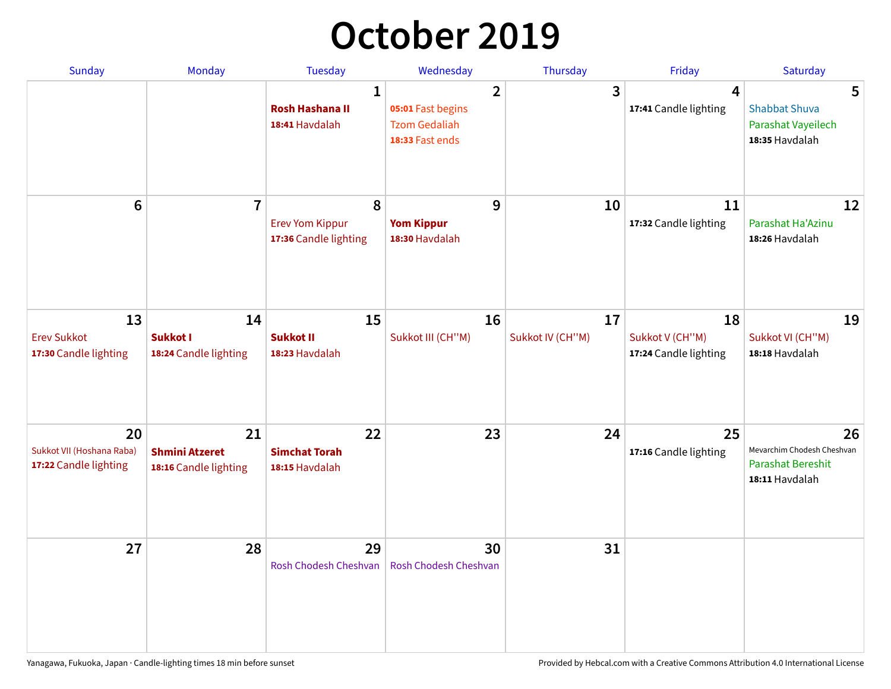## **October 2019**

| <b>Sunday</b>                                            | <b>Monday</b>                                        | <b>Tuesday</b>                                           | Wednesday                                                                      | Thursday               | Friday                                         | Saturday                                                                       |
|----------------------------------------------------------|------------------------------------------------------|----------------------------------------------------------|--------------------------------------------------------------------------------|------------------------|------------------------------------------------|--------------------------------------------------------------------------------|
|                                                          |                                                      | $\mathbf{1}$<br><b>Rosh Hashana II</b><br>18:41 Havdalah | $\overline{2}$<br>05:01 Fast begins<br><b>Tzom Gedaliah</b><br>18:33 Fast ends | 3                      | $\overline{4}$<br>17:41 Candle lighting        | 5<br><b>Shabbat Shuva</b><br>Parashat Vayeilech<br>18:35 Havdalah              |
| $6\phantom{1}$                                           | $\overline{7}$                                       | 8<br><b>Erev Yom Kippur</b><br>17:36 Candle lighting     | 9<br><b>Yom Kippur</b><br>18:30 Havdalah                                       | 10                     | 11<br>17:32 Candle lighting                    | 12<br>Parashat Ha'Azinu<br>18:26 Havdalah                                      |
| 13<br><b>Erev Sukkot</b><br>17:30 Candle lighting        | 14<br>Sukkot I<br>18:24 Candle lighting              | 15<br><b>Sukkot II</b><br>18:23 Havdalah                 | 16<br>Sukkot III (CH"M)                                                        | 17<br>Sukkot IV (CH"M) | 18<br>Sukkot V (CH"M)<br>17:24 Candle lighting | 19<br>Sukkot VI (CH"M)<br>18:18 Havdalah                                       |
| 20<br>Sukkot VII (Hoshana Raba)<br>17:22 Candle lighting | 21<br><b>Shmini Atzeret</b><br>18:16 Candle lighting | 22<br><b>Simchat Torah</b><br>18:15 Havdalah             | 23                                                                             | 24                     | 25<br>17:16 Candle lighting                    | 26<br>Mevarchim Chodesh Cheshvan<br><b>Parashat Bereshit</b><br>18:11 Havdalah |
| 27                                                       | 28                                                   | 29<br>Rosh Chodesh Cheshvan                              | 30<br>Rosh Chodesh Cheshvan                                                    | 31                     |                                                |                                                                                |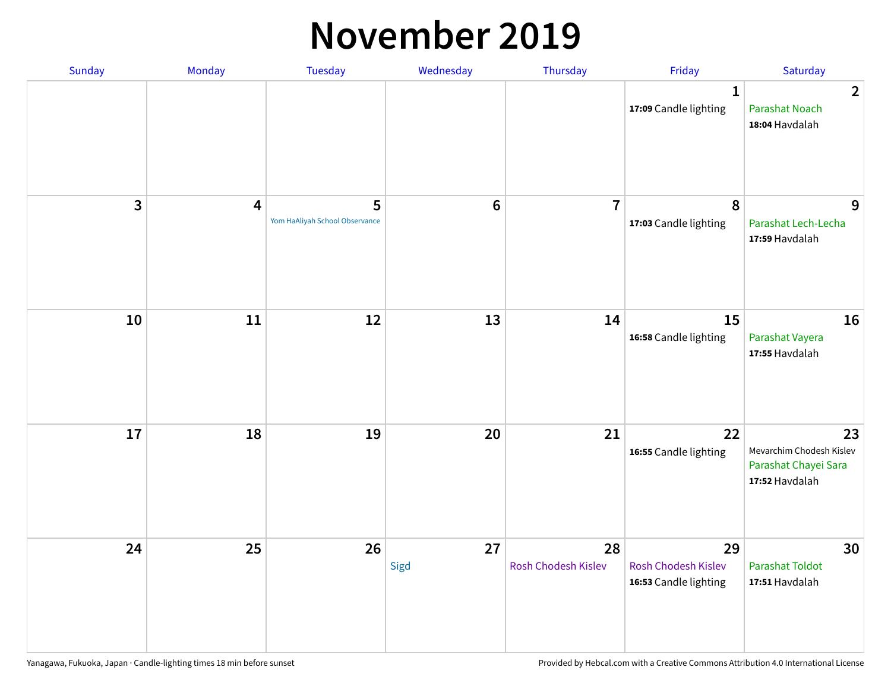#### **November 2019**

| Sunday | Monday                  | Tuesday                             | Wednesday  | Thursday                  | Friday                                                    | Saturday                                                                 |
|--------|-------------------------|-------------------------------------|------------|---------------------------|-----------------------------------------------------------|--------------------------------------------------------------------------|
|        |                         |                                     |            |                           | 1<br>17:09 Candle lighting                                | $\overline{2}$<br><b>Parashat Noach</b><br>18:04 Havdalah                |
| 3      | $\overline{\mathbf{4}}$ | 5<br>Yom HaAliyah School Observance | $\bf 6$    | $\overline{7}$            | 8<br>17:03 Candle lighting                                | 9<br>Parashat Lech-Lecha<br>17:59 Havdalah                               |
| 10     | $11\,$                  | 12                                  | 13         | 14                        | 15<br>16:58 Candle lighting                               | 16<br>Parashat Vayera<br>17:55 Havdalah                                  |
| 17     | 18                      | 19                                  | 20         | 21                        | 22<br>16:55 Candle lighting                               | 23<br>Mevarchim Chodesh Kislev<br>Parashat Chayei Sara<br>17:52 Havdalah |
| 24     | 25                      | 26                                  | 27<br>Sigd | 28<br>Rosh Chodesh Kislev | 29<br><b>Rosh Chodesh Kislev</b><br>16:53 Candle lighting | 30<br><b>Parashat Toldot</b><br>17:51 Havdalah                           |